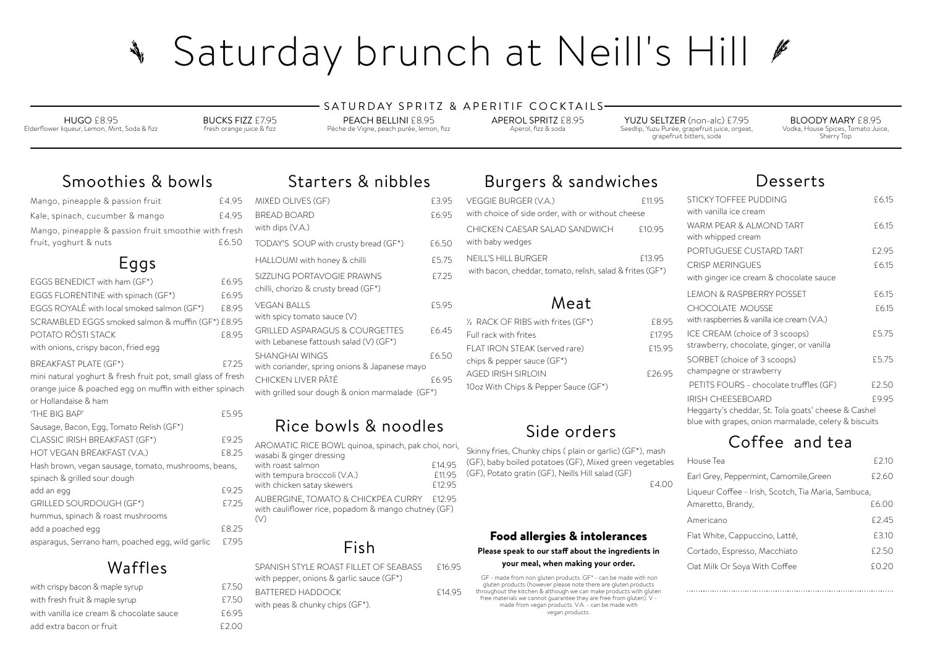### **your meal, when making your order.**

 GF - made from non gluten products. GF\* - can be made with non gluten products (however please note there are gluten products throughout the kitchen & although we can make products with gluten free materials we cannot guarantee they are free from gluten). V made from vegan products. V.A. - can be made with vegan products.

# Smoothies & bowls

| Mango, pineapple & passion fruit                                              | £4.95 |  |
|-------------------------------------------------------------------------------|-------|--|
| Kale, spinach, cucumber & mango                                               | £4.95 |  |
| Mango, pineapple & passion fruit smoothie with fresh<br>fruit, yoghurt & nuts | £6.50 |  |
| Eggs                                                                          |       |  |
| EGGS BENEDICT with ham (GF*)                                                  | £6.95 |  |
| EGGS FLORENTINE with spinach (GF*)                                            | £6.95 |  |
| EGGS ROYALÉ with local smoked salmon (GF*)                                    | £8.95 |  |
| SCRAMBLED EGGS smoked salmon & muffin (GF*) £8.95                             |       |  |
| POTATO RÔSTI STACK                                                            | £8.95 |  |
| with onions, crispy bacon, fried egg                                          |       |  |
| <b>BREAKFAST PLATE (GF*)</b>                                                  | £7.25 |  |

mini natural yoghurt & fresh fruit pot, small glass of fresh orange juice & poached egg on muffin with either spinach or Hollandaise & ham 'THE BIG BAP' £5.95

| Skinny fries, Chunky chips (plain or garlic) (GF*), mash<br>(GF), baby boiled potatoes (GF), Mixed green vegetables<br>(GF), Potato gratin (GF), Neills Hill salad (GF) |  |  |  |
|-------------------------------------------------------------------------------------------------------------------------------------------------------------------------|--|--|--|
| £4.00                                                                                                                                                                   |  |  |  |
|                                                                                                                                                                         |  |  |  |
|                                                                                                                                                                         |  |  |  |
|                                                                                                                                                                         |  |  |  |
|                                                                                                                                                                         |  |  |  |
| <b>Food allergies &amp; intolerances</b>                                                                                                                                |  |  |  |
| Please speak to our staff about the ingredients in                                                                                                                      |  |  |  |

| Sausage, Bacon, Egg, Tomato Relish (GF*)             |       |
|------------------------------------------------------|-------|
| CLASSIC IRISH BREAKFAST (GF*)                        | £9.25 |
| HOT VEGAN BREAKFAST (V.A.)                           | £8.25 |
| Hash brown, vegan sausage, tomato, mushrooms, beans, |       |
| spinach & grilled sour dough                         |       |
| add an egg                                           | £9.25 |
| <b>GRILLED SOURDOUGH (GF*)</b>                       | F7.25 |
| hummus, spinach & roast mushrooms                    |       |
| add a poached egg                                    | F8.25 |
| asparagus, Serrano ham, poached egg, wild garlic     | F795  |

# Waffles

| £7.50   |
|---------|
| £7.50   |
| £6.95   |
| F 2 O O |
|         |

# Burgers & sandwiches

# Side orders

# Starters & nibbles

| MIXED OLIVES (GF)                               | £3.95 |
|-------------------------------------------------|-------|
| <b>BREAD BOARD</b>                              | £6.95 |
| with dips (V.A.)                                |       |
| TODAY'S SOUP with crusty bread (GF*)            | £6.50 |
| HALLOUMI with honey & chilli                    | £5.75 |
| SIZZLING PORTAVOGIE PRAWNS                      | £7.25 |
| chilli, chorizo & crusty bread (GF*)            |       |
| <b>VEGAN BALLS</b>                              | £5.95 |
| with spicy tomato sauce (V)                     |       |
| <b>GRILLED ASPARAGUS &amp; COURGETTES</b>       | £6.45 |
| with Lebanese fattoush salad $(V)$ (GF*)        |       |
| <b>SHANGHAI WINGS</b>                           | £6.50 |
| with coriander, spring onions & Japanese mayo   |       |
| CHICKEN LIVER PÂTÉ                              | £6.95 |
| with grilled sour dough & onion marmalade (GF*) |       |

| <b>VEGGIE BURGER (V.A.)</b><br>with choice of side order, with or without cheese        | £11.95 | <b>STIC</b><br>with       |
|-----------------------------------------------------------------------------------------|--------|---------------------------|
| CHICKEN CAESAR SALAD SANDWICH<br>with baby wedges                                       | £10.95 | WAI<br>with               |
| <b>NEILL'S HILL BURGER</b><br>with bacon, cheddar, tomato, relish, salad & frites (GF*) | £13.95 | POF<br><b>CRI</b><br>with |
| Meat                                                                                    |        | LEN<br>CH <sub>(</sub>    |
| 1/2 RACK OF RIBS with frites (GF*)                                                      | £8.95  | with                      |
| Full rack with frites                                                                   | £17.95 | <b>ICE</b>                |
|                                                                                         |        |                           |
| FLAT IRON STEAK (served rare)                                                           | £15.95 | stra                      |
| chips & pepper sauce (GF*)                                                              |        | SOF                       |
| <b>AGED IRISH SIRLOIN</b>                                                               | £26.95 | chai                      |
| 10oz With Chips & Pepper Sauce (GF*)                                                    |        | PF1                       |

# Rice bowls & noodles

AROMATIC RICE BOWL quinoa, spinach, pak choi, nori, wasabi & ginger dressing with roast salmon<br>with tempura broccoli (VA) 61195 with tempura broccoli (V.A.) E11.95<br>with chicken satav skewers F12.95 with chicken satay skewers AUBERGINE, TOMATO & CHICKPEA CURRY £12.95 with cauliflower rice, popadom & mango chutney (GF) (V)

# Fish

| SPANISH STYLE ROAST FILLET OF SFABASS    | F16.95 |
|------------------------------------------|--------|
| with pepper, onions & garlic sauce (GF*) |        |
| <b>BATTERED HADDOCK</b>                  | F14.95 |
| with peas $\&$ chunky chips $(GF^*)$ .   |        |

# Saturday brunch at Neill's Hill # North Report

HUGO £8.95 Elderflower liqueur, Lemon, Mint, Soda & fizz BUCKS FIZZ £7.95 fresh orange juice & fizz

### SATURDAY SPRITZ & APERITIF COCKTAILS-

PEACH BELLINI £8.95 Péche de Vigne, peach purée, lemon, fizz APEROL SPRITZ £8.95 Aperol, fizz & soda

YUZU SELTZER (non-alc) £7.95 Seedlip, Yuzu Purée, grapefruit juice, orgeat, grapefruit bitters, soda

BLOODY MARY £8.95 Vodka, House Spices, Tomato Juice, Sherry Top

## Desserts

| STICKY TOFFEE PUDDING                                | £6.15 |
|------------------------------------------------------|-------|
| with vanilla ice cream                               |       |
| WARM PEAR & ALMOND TART                              | £6.15 |
| with whipped cream                                   |       |
| PORTUGUESE CUSTARD TART                              | £2.95 |
| <b>CRISP MERINGUES</b>                               | £6.15 |
| with ginger ice cream & chocolate sauce              |       |
| <b>LEMON &amp; RASPBERRY POSSET</b>                  | £6.15 |
| <b>CHOCOLATE MOUSSE</b>                              | £6.15 |
| with raspberries & vanilla ice cream (V.A.)          |       |
| ICE CREAM (choice of 3 scoops)                       | £5.75 |
| strawberry, chocolate, ginger, or vanilla            |       |
| SORBET (choice of 3 scoops)                          | £5.75 |
| champagne or strawberry                              |       |
| PETITS FOURS - chocolate truffles (GF)               | £2.50 |
| IRISH CHEESEBOARD                                    | £9.95 |
| Heggarty's cheddar, St. Tola goats' cheese & Cashel  |       |
| blue with grapes, onion marmalade, celery & biscuits |       |

# Coffee and tea

| House Tea                                           | £2.10 |
|-----------------------------------------------------|-------|
| Earl Grey, Peppermint, Camomile,Green               | £2.60 |
| Liqueur Coffee - Irish, Scotch, Tia Maria, Sambuca, |       |
| Amaretto, Brandy,                                   | £6.00 |
| Americano                                           | £2.45 |
| Flat White, Cappuccino, Latté,                      | £3.10 |
| Cortado, Espresso, Macchiato                        | £2.50 |
| Oat Milk Or Soya With Coffee                        | £0.20 |
|                                                     |       |